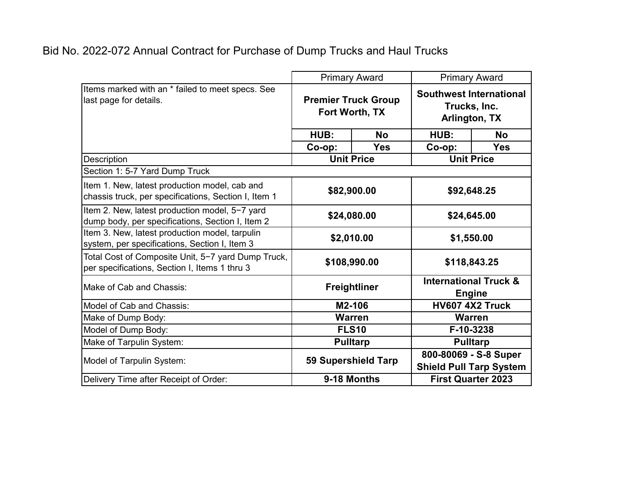|                                                                                                       | <b>Primary Award</b>                         |            | <b>Primary Award</b>                                            |            |
|-------------------------------------------------------------------------------------------------------|----------------------------------------------|------------|-----------------------------------------------------------------|------------|
| Items marked with an * failed to meet specs. See<br>last page for details.                            | <b>Premier Truck Group</b><br>Fort Worth, TX |            | <b>Southwest International</b><br>Trucks, Inc.<br>Arlington, TX |            |
|                                                                                                       | HUB:                                         | <b>No</b>  | HUB:                                                            | <b>No</b>  |
|                                                                                                       | Co-op:                                       | <b>Yes</b> | $Co$ -op:                                                       | <b>Yes</b> |
| Description                                                                                           | <b>Unit Price</b>                            |            | <b>Unit Price</b>                                               |            |
| Section 1: 5-7 Yard Dump Truck                                                                        |                                              |            |                                                                 |            |
| Item 1. New, latest production model, cab and<br>chassis truck, per specifications, Section I, Item 1 | \$82,900.00                                  |            | \$92,648.25                                                     |            |
| Item 2. New, latest production model, 5-7 yard<br>dump body, per specifications, Section I, Item 2    | \$24,080.00                                  |            | \$24,645.00                                                     |            |
| Item 3. New, latest production model, tarpulin<br>system, per specifications, Section I, Item 3       | \$2,010.00                                   |            | \$1,550.00                                                      |            |
| Total Cost of Composite Unit, 5-7 yard Dump Truck,<br>per specifications, Section I, Items 1 thru 3   | \$108,990.00                                 |            | \$118,843.25                                                    |            |
| Make of Cab and Chassis:                                                                              | <b>Freightliner</b>                          |            | <b>International Truck &amp;</b><br><b>Engine</b>               |            |
| Model of Cab and Chassis:                                                                             | M2-106                                       |            | HV607 4X2 Truck                                                 |            |
| Make of Dump Body:                                                                                    | <b>Warren</b>                                |            | <b>Warren</b>                                                   |            |
| Model of Dump Body:                                                                                   | <b>FLS10</b>                                 |            | F-10-3238                                                       |            |
| Make of Tarpulin System:                                                                              | <b>Pulltarp</b>                              |            | <b>Pulltarp</b>                                                 |            |
| Model of Tarpulin System:                                                                             | 59 Supershield Tarp                          |            | 800-80069 - S-8 Super<br><b>Shield Pull Tarp System</b>         |            |
| Delivery Time after Receipt of Order:                                                                 | 9-18 Months                                  |            | <b>First Quarter 2023</b>                                       |            |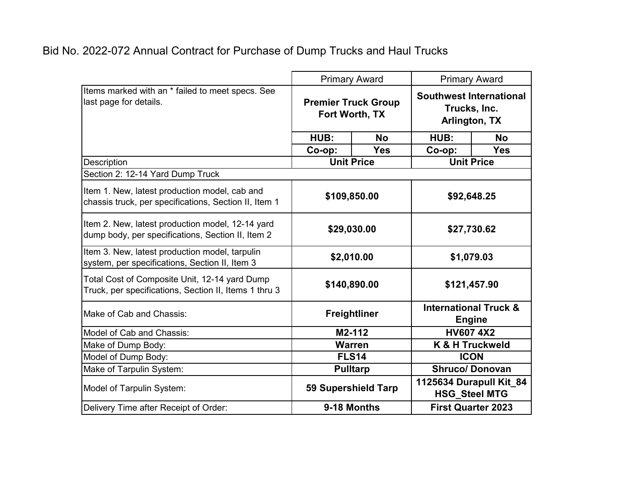|                                                                                                        | <b>Primary Award</b>                         |            | <b>Primary Award</b>                                            |            |
|--------------------------------------------------------------------------------------------------------|----------------------------------------------|------------|-----------------------------------------------------------------|------------|
| Items marked with an * failed to meet specs. See<br>last page for details.                             | <b>Premier Truck Group</b><br>Fort Worth, TX |            | <b>Southwest International</b><br>Trucks, Inc.<br>Arlington, TX |            |
|                                                                                                        | HUB:                                         | <b>No</b>  | HUB:                                                            | <b>No</b>  |
|                                                                                                        | Co-op:                                       | <b>Yes</b> | Co-op:                                                          | <b>Yes</b> |
| Description                                                                                            | <b>Unit Price</b>                            |            | <b>Unit Price</b>                                               |            |
| Section 2: 12-14 Yard Dump Truck                                                                       |                                              |            |                                                                 |            |
| Item 1. New, latest production model, cab and<br>chassis truck, per specifications, Section II, Item 1 | \$109,850.00                                 |            | \$92,648.25                                                     |            |
| Item 2. New, latest production model, 12-14 yard<br>dump body, per specifications, Section II, Item 2  | \$29,030.00                                  |            | \$27,730.62                                                     |            |
| Item 3. New, latest production model, tarpulin<br>system, per specifications, Section II, Item 3       | \$2,010.00                                   |            | \$1,079.03                                                      |            |
| Total Cost of Composite Unit, 12-14 yard Dump<br>Truck, per specifications, Section II, Items 1 thru 3 | \$140,890.00                                 |            | \$121,457.90                                                    |            |
| Make of Cab and Chassis:                                                                               | <b>Freightliner</b>                          |            | <b>International Truck &amp;</b><br><b>Engine</b>               |            |
| Model of Cab and Chassis:                                                                              | M2-112                                       |            | <b>HV607 4X2</b>                                                |            |
| Make of Dump Body:                                                                                     | <b>Warren</b>                                |            | K & H Truckweld                                                 |            |
| Model of Dump Body:                                                                                    | <b>FLS14</b>                                 |            | <b>ICON</b>                                                     |            |
| Make of Tarpulin System:                                                                               | <b>Pulltarp</b>                              |            | <b>Shruco/Donovan</b>                                           |            |
| Model of Tarpulin System:                                                                              | 59 Supershield Tarp                          |            | 1125634 Durapull Kit_84<br><b>HSG_Steel MTG</b>                 |            |
| Delivery Time after Receipt of Order:                                                                  | 9-18 Months                                  |            | <b>First Quarter 2023</b>                                       |            |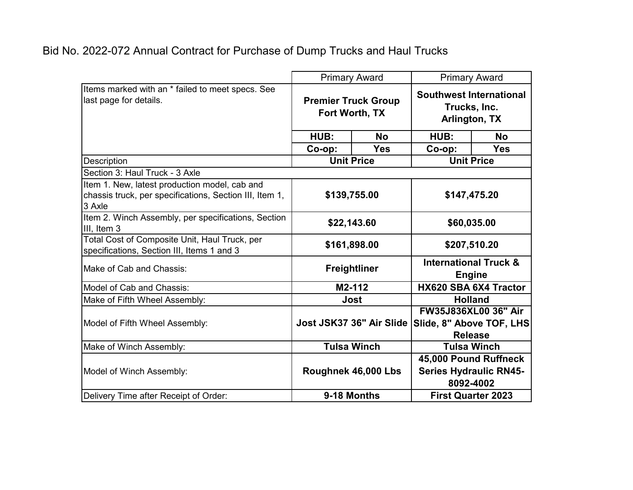|                                                                                                                    | <b>Primary Award</b>                         |                          | <b>Primary Award</b>                                                      |                           |
|--------------------------------------------------------------------------------------------------------------------|----------------------------------------------|--------------------------|---------------------------------------------------------------------------|---------------------------|
| Items marked with an * failed to meet specs. See<br>last page for details.                                         | <b>Premier Truck Group</b><br>Fort Worth, TX |                          | <b>Southwest International</b><br>Trucks, Inc.<br>Arlington, TX           |                           |
|                                                                                                                    | HUB:                                         | <b>No</b>                | HUB:                                                                      | <b>No</b>                 |
|                                                                                                                    | Co-op:                                       | <b>Yes</b>               | Co-op:                                                                    | <b>Yes</b>                |
| Description                                                                                                        | <b>Unit Price</b>                            |                          | <b>Unit Price</b>                                                         |                           |
| Section 3: Haul Truck - 3 Axle                                                                                     |                                              |                          |                                                                           |                           |
| Item 1. New, latest production model, cab and<br>chassis truck, per specifications, Section III, Item 1,<br>3 Axle | \$139,755.00                                 |                          | \$147,475.20                                                              |                           |
| Item 2. Winch Assembly, per specifications, Section<br>III, Item 3                                                 | \$22,143.60                                  |                          | \$60,035.00                                                               |                           |
| Total Cost of Composite Unit, Haul Truck, per<br>specifications, Section III, Items 1 and 3                        | \$161,898.00                                 |                          | \$207,510.20                                                              |                           |
| Make of Cab and Chassis:                                                                                           | <b>Freightliner</b>                          |                          | <b>International Truck &amp;</b><br><b>Engine</b>                         |                           |
| Model of Cab and Chassis:                                                                                          | M2-112                                       |                          | HX620 SBA 6X4 Tractor                                                     |                           |
| Make of Fifth Wheel Assembly:                                                                                      | <b>Jost</b>                                  |                          | <b>Holland</b>                                                            |                           |
| Model of Fifth Wheel Assembly:                                                                                     |                                              | Jost JSK37 36" Air Slide | <b>FW35J836XL00 36" Air</b><br>Slide, 8" Above TOF, LHS<br><b>Release</b> |                           |
| Make of Winch Assembly:                                                                                            |                                              | <b>Tulsa Winch</b>       |                                                                           | <b>Tulsa Winch</b>        |
| Model of Winch Assembly:                                                                                           |                                              | Roughnek 46,000 Lbs      | 45,000 Pound Ruffneck<br><b>Series Hydraulic RN45-</b><br>8092-4002       |                           |
| Delivery Time after Receipt of Order:                                                                              | 9-18 Months                                  |                          |                                                                           | <b>First Quarter 2023</b> |